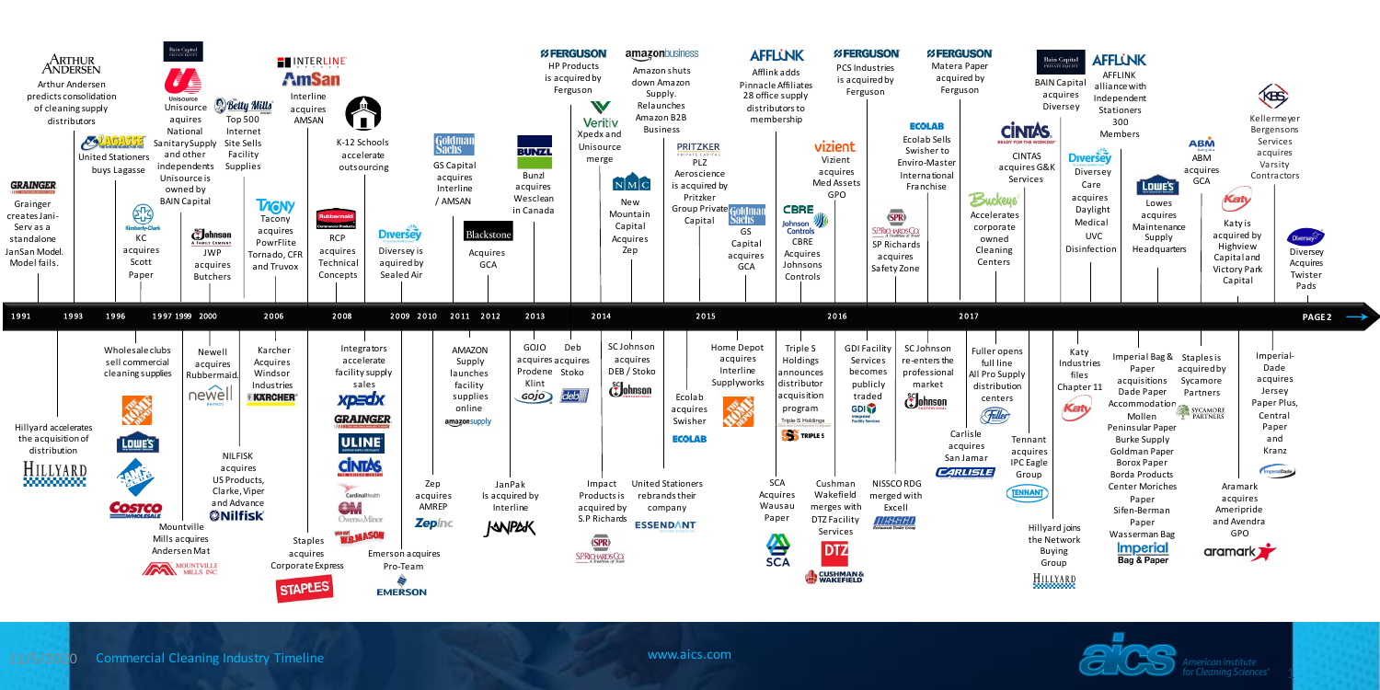Commercial Cleaning Industry Timeline www.aics.com

1



11/5/2020

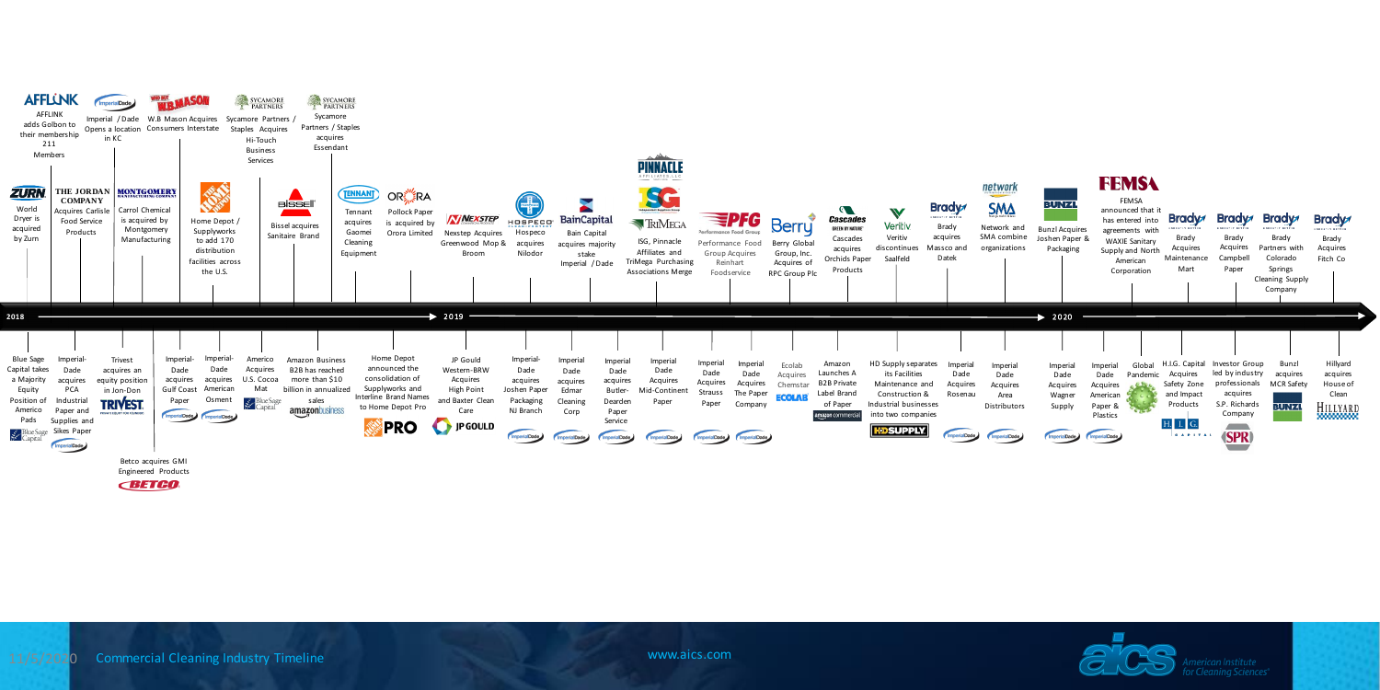

Cleaning Sciences®





**CBETGO**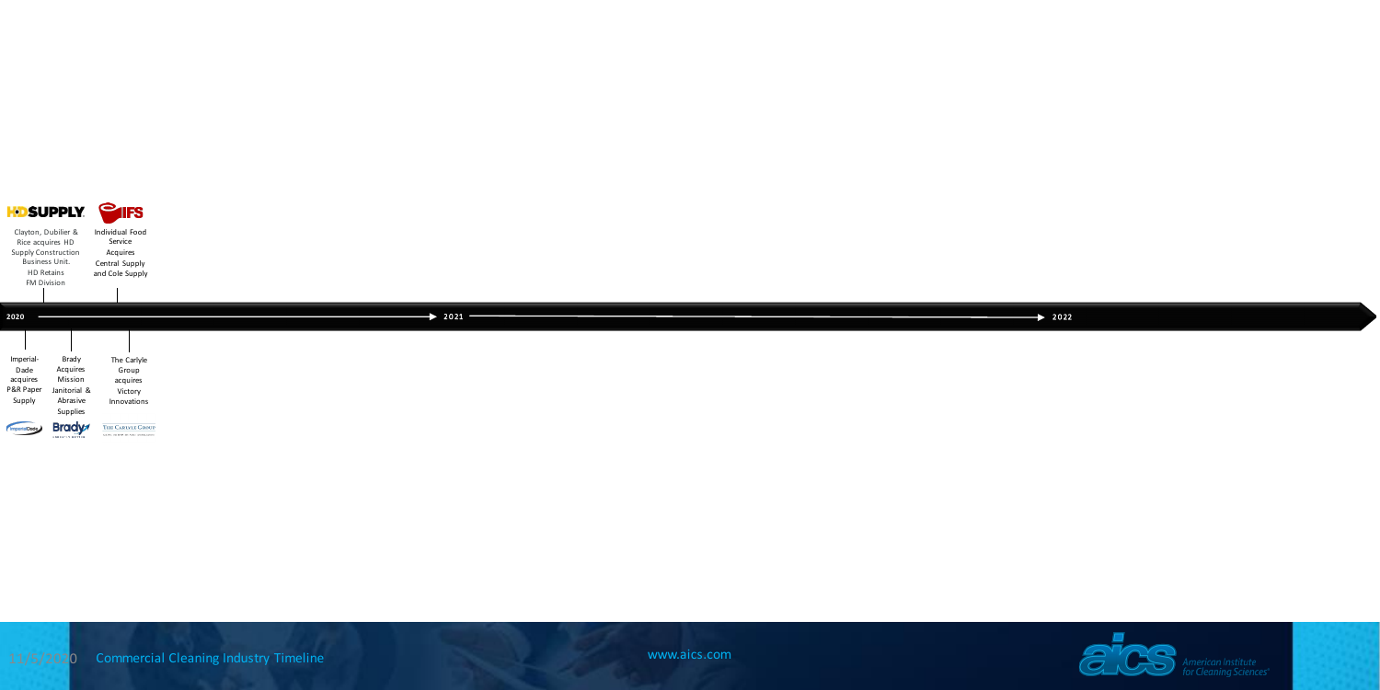



| Clayton, Dubilier &<br>Rice acquires HD<br>Supply Construction<br>Business Unit.<br>HD Retains<br>FM Division |                                                                      | <b>KDSUPPLY PIFS</b><br>Individual Food<br>Service<br>Acquires<br>Central Supply<br>and Cole Supply |                      |                    |
|---------------------------------------------------------------------------------------------------------------|----------------------------------------------------------------------|-----------------------------------------------------------------------------------------------------|----------------------|--------------------|
| 2020                                                                                                          |                                                                      |                                                                                                     | $\rightarrow$ 2021 - | $\rightarrow$ 2022 |
| Imperial-<br>Dade<br>acquires<br>P&R Paper<br>Supply                                                          | Brady<br>Acquires<br>Mission<br>Janitorial &<br>Abrasive<br>Supplies | The Carlyle<br>Group<br>acquires<br>Victory<br>Innovations                                          |                      |                    |